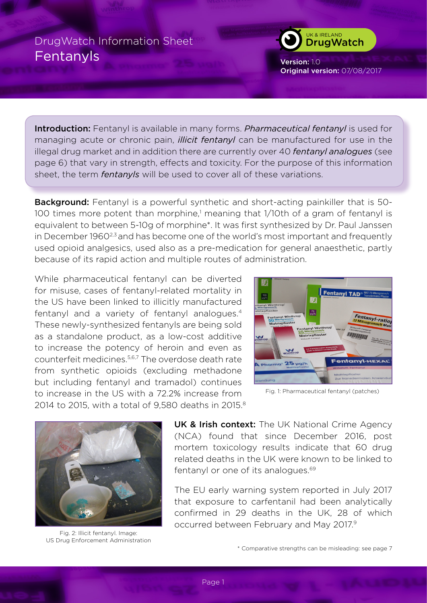

Version: 1.0 Original version: 07/08/2017

Introduction: Fentanyl is available in many forms. *Pharmaceutical fentanyl* is used for managing acute or chronic pain, *illicit fentanyl* can be manufactured for use in the illegal drug market and in addition there are currently over 40 *fentanyl analogues* (see page 6) that vary in strength, effects and toxicity. For the purpose of this information sheet, the term *fentanyls* will be used to cover all of these variations.

**Background:** Fentanyl is a powerful synthetic and short-acting painkiller that is 50-100 times more potent than morphine,<sup>1</sup> meaning that 1/10th of a gram of fentanyl is equivalent to between 5-10g of morphine\*. It was first synthesized by Dr. Paul Janssen in December 1960<sup>2,3</sup> and has become one of the world's most important and frequently used opioid analgesics, used also as a pre-medication for general anaesthetic, partly because of its rapid action and multiple routes of administration.

While pharmaceutical fentanyl can be diverted for misuse, cases of fentanyl-related mortality in the US have been linked to illicitly manufactured fentanyl and a variety of fentanyl analogues.4 These newly-synthesized fentanyls are being sold as a standalone product, as a low-cost additive to increase the potency of heroin and even as counterfeit medicines.5,6,7 The overdose death rate from synthetic opioids (excluding methadone but including fentanyl and tramadol) continues to increase in the US with a 72.2% increase from 2014 to 2015, with a total of 9,580 deaths in 2015.<sup>8</sup>



Fig. 1: Pharmaceutical fentanyl (patches)



Fig. 2: Illicit fentanyl. Image: US Drug Enforcement Administration

UK & Irish context: The UK National Crime Agency (NCA) found that since December 2016, post mortem toxicology results indicate that 60 drug related deaths in the UK were known to be linked to fentanyl or one of its analogues.<sup>69</sup>

The EU early warning system reported in July 2017 that exposure to carfentanil had been analytically confirmed in 29 deaths in the UK, 28 of which occurred between February and May 2017.9

\* Comparative strengths can be misleading: see page 7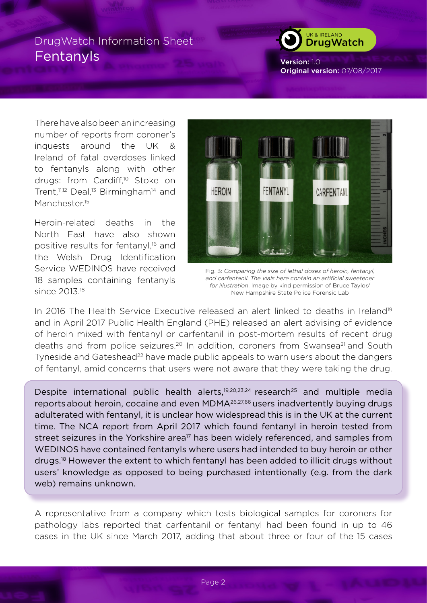

Version: 1.0 Original version: 07/08/2017

There have also been an increasing number of reports from coroner's inquests around the UK & Ireland of fatal overdoses linked to fentanyls along with other drugs: from Cardiff,<sup>10</sup> Stoke on Trent,<sup>11,12</sup> Deal,<sup>13</sup> Birmingham<sup>14</sup> and Manchester<sup>15</sup>

Heroin-related deaths in the North East have also shown positive results for fentanyl,<sup>16</sup> and the Welsh Drug Identification Service WEDINOS have received 18 samples containing fentanyls since 2013.18



Fig. 3: *Comparing the size of lethal doses of heroin, fentanyl, and carfentanil. The vials here contain an artificial sweetener for illustration*. Image by kind permission of Bruce Taylor/ New Hampshire State Police Forensic Lab

In 2016 The Health Service Executive released an alert linked to deaths in Ireland<sup>19</sup> and in April 2017 Public Health England (PHE) released an alert advising of evidence of heroin mixed with fentanyl or carfentanil in post-mortem results of recent drug deaths and from police seizures.<sup>20</sup> In addition, coroners from Swansea<sup>21</sup> and South Tyneside and Gateshead<sup>22</sup> have made public appeals to warn users about the dangers of fentanyl, amid concerns that users were not aware that they were taking the drug.

Despite international public health alerts,<sup>19,20,23,24</sup> research<sup>25</sup> and multiple media reports about heroin, cocaine and even MDMA26,27,66 users inadvertently buying drugs adulterated with fentanyl, it is unclear how widespread this is in the UK at the current time. The NCA report from April 2017 which found fentanyl in heroin tested from street seizures in the Yorkshire area<sup>17</sup> has been widely referenced, and samples from WEDINOS have contained fentanyls where users had intended to buy heroin or other drugs.18 However the extent to which fentanyl has been added to illicit drugs without users' knowledge as opposed to being purchased intentionally (e.g. from the dark web) remains unknown.

A representative from a company which tests biological samples for coroners for pathology labs reported that carfentanil or fentanyl had been found in up to 46 cases in the UK since March 2017, adding that about three or four of the 15 cases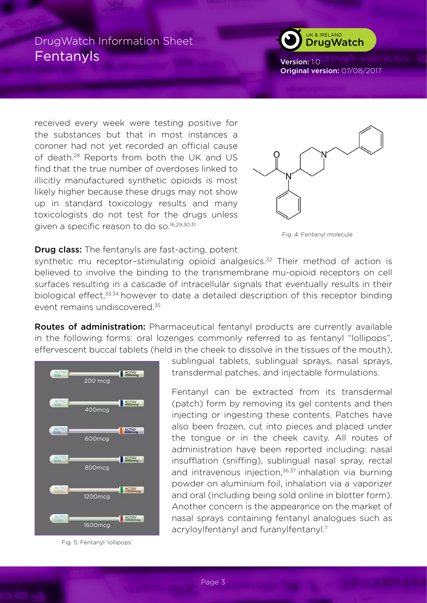## UK & IRELAND **DrugWatch**

Version: 1.0 Original version: 07/08/2017

received every week were testing positive for the substances but that in most instances a coroner had not yet recorded an official cause of death.28 Reports from both the UK and US find that the true number of overdoses linked to illicitly manufactured synthetic opioids is most likely higher because these drugs may not show up in standard toxicology results and many toxicologists do not test for the drugs unless given a specific reason to do so.<sup>16,29,30,31</sup>



Fig. 4: Fentanyl molecule

#### **Drug class:** The fentanyls are fast-acting, potent

synthetic mu receptor-stimulating opioid analgesics.<sup>32</sup> Their method of action is believed to involve the binding to the transmembrane mu-opioid receptors on cell surfaces resulting in a cascade of intracellular signals that eventually results in their biological effect,33,34 however to date a detailed description of this receptor binding event remains undiscovered.35

Routes of administration: Pharmaceutical fentanyl products are currently available in the following forms: oral lozenges commonly referred to as fentanyl "lollipops", effervescent buccal tablets (held in the cheek to dissolve in the tissues of the mouth),



Fig. 5: Fentanyl 'lollipops'

sublingual tablets, sublingual sprays, nasal sprays, transdermal patches, and injectable formulations.

Fentanyl can be extracted from its transdermal (patch) form by removing its gel contents and then injecting or ingesting these contents. Patches have also been frozen, cut into pieces and placed under the tongue or in the cheek cavity. All routes of administration have been reported including: nasal insufflation (sniffing), sublingual nasal spray, rectal and intravenous injection,<sup>36,37</sup> inhalation via burning powder on aluminium foil, inhalation via a vaporizer and oral (including being sold online in blotter form). Another concern is the appearance on the market of nasal sprays containing fentanyl analogues such as acryloylfentanyl and furanylfentanyl.<sup>7</sup>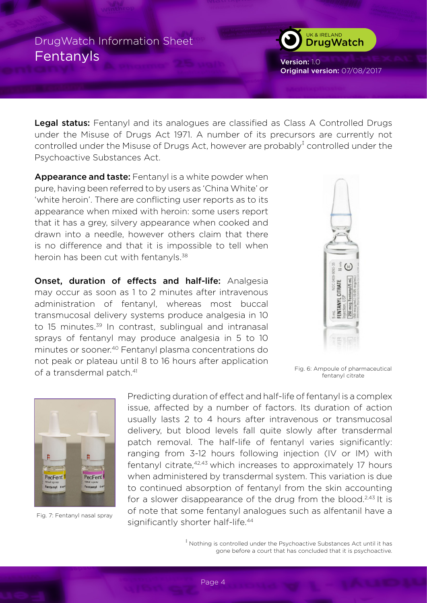

Version: 1.0 Original version: 07/08/2017

Legal status: Fentanyl and its analogues are classified as Class A Controlled Drugs under the Misuse of Drugs Act 1971. A number of its precursors are currently not controlled under the Misuse of Drugs Act, however are probably ${}^{\ddagger}$  controlled under the Psychoactive Substances Act.

Appearance and taste: Fentanyl is a white powder when pure, having been referred to by users as 'China White' or 'white heroin'. There are conflicting user reports as to its appearance when mixed with heroin: some users report that it has a grey, silvery appearance when cooked and drawn into a needle, however others claim that there is no difference and that it is impossible to tell when heroin has been cut with fentanyls.<sup>38</sup>

Onset, duration of effects and half-life: Analgesia may occur as soon as 1 to 2 minutes after intravenous administration of fentanyl, whereas most buccal transmucosal delivery systems produce analgesia in 10 to 15 minutes.<sup>39</sup> In contrast, sublingual and intranasal sprays of fentanyl may produce analgesia in 5 to 10 minutes or sooner.40 Fentanyl plasma concentrations do not peak or plateau until 8 to 16 hours after application of a transdermal patch.<sup>41</sup>



Fig. 6: Ampoule of pharmaceutical fentanyl citrate



Fig. 7: Fentanyl nasal spray

Predicting duration of effect and half-life of fentanyl is a complex issue, affected by a number of factors. Its duration of action usually lasts 2 to 4 hours after intravenous or transmucosal delivery, but blood levels fall quite slowly after transdermal patch removal. The half-life of fentanyl varies significantly: ranging from 3-12 hours following injection (IV or IM) with fentanyl citrate, <sup>42,43</sup> which increases to approximately 17 hours when administered by transdermal system. This variation is due to continued absorption of fentanyl from the skin accounting for a slower disappearance of the drug from the blood.<sup>2,43</sup> It is of note that some fentanyl analogues such as alfentanil have a significantly shorter half-life.<sup>44</sup>

> ‡ Nothing is controlled under the Psychoactive Substances Act until it has gone before a court that has concluded that it is psychoactive.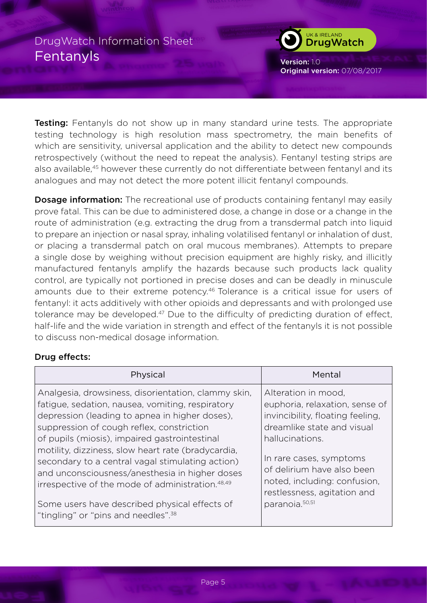

Version: 1.0 Original version: 07/08/2017

**Testing:** Fentanyls do not show up in many standard urine tests. The appropriate testing technology is high resolution mass spectrometry, the main benefits of which are sensitivity, universal application and the ability to detect new compounds retrospectively (without the need to repeat the analysis). Fentanyl testing strips are also available,45 however these currently do not differentiate between fentanyl and its analogues and may not detect the more potent illicit fentanyl compounds.

**Dosage information:** The recreational use of products containing fentanyl may easily prove fatal. This can be due to administered dose, a change in dose or a change in the route of administration (e.g. extracting the drug from a transdermal patch into liquid to prepare an injection or nasal spray, inhaling volatilised fentanyl or inhalation of dust, or placing a transdermal patch on oral mucous membranes). Attempts to prepare a single dose by weighing without precision equipment are highly risky, and illicitly manufactured fentanyls amplify the hazards because such products lack quality control, are typically not portioned in precise doses and can be deadly in minuscule amounts due to their extreme potency.46 Tolerance is a critical issue for users of fentanyl: it acts additively with other opioids and depressants and with prolonged use tolerance may be developed.<sup>47</sup> Due to the difficulty of predicting duration of effect, half-life and the wide variation in strength and effect of the fentanyls it is not possible to discuss non-medical dosage information.

### Drug effects:

| Physical                                                                                         | Mental                           |
|--------------------------------------------------------------------------------------------------|----------------------------------|
| Analgesia, drowsiness, disorientation, clammy skin,                                              | Alteration in mood,              |
| fatigue, sedation, nausea, vomiting, respiratory                                                 | euphoria, relaxation, sense of   |
| depression (leading to apnea in higher doses),                                                   | invincibility, floating feeling, |
| suppression of cough reflex, constriction                                                        | dreamlike state and visual       |
| of pupils (miosis), impaired gastrointestinal                                                    | hallucinations.                  |
| motility, dizziness, slow heart rate (bradycardia,                                               | In rare cases, symptoms          |
| secondary to a central vagal stimulating action)                                                 | of delirium have also been       |
| and unconsciousness/anesthesia in higher doses                                                   | noted, including: confusion,     |
| irrespective of the mode of administration. <sup>48,49</sup>                                     | restlessness, agitation and      |
| Some users have described physical effects of<br>"tingling" or "pins and needles". <sup>38</sup> | paranoia. <sup>50,51</sup>       |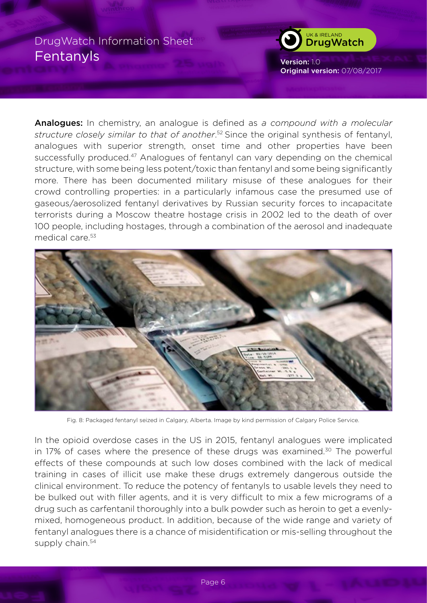

Version: 1.0 Original version: 07/08/2017

Analogues: In chemistry, an analogue is defined as *a compound with a molecular structure closely similar to that of another*. 52 Since the original synthesis of fentanyl, analogues with superior strength, onset time and other properties have been successfully produced.<sup>47</sup> Analogues of fentanyl can vary depending on the chemical structure, with some being less potent/toxic than fentanyl and some being significantly more. There has been documented military misuse of these analogues for their crowd controlling properties: in a particularly infamous case the presumed use of gaseous/aerosolized fentanyl derivatives by Russian security forces to incapacitate terrorists during a Moscow theatre hostage crisis in 2002 led to the death of over 100 people, including hostages, through a combination of the aerosol and inadequate medical care.53



Fig. 8: Packaged fentanyl seized in Calgary, Alberta. Image by kind permission of Calgary Police Service.

In the opioid overdose cases in the US in 2015, fentanyl analogues were implicated in 17% of cases where the presence of these drugs was examined.<sup>30</sup> The powerful effects of these compounds at such low doses combined with the lack of medical training in cases of illicit use make these drugs extremely dangerous outside the clinical environment. To reduce the potency of fentanyls to usable levels they need to be bulked out with filler agents, and it is very difficult to mix a few micrograms of a drug such as carfentanil thoroughly into a bulk powder such as heroin to get a evenlymixed, homogeneous product. In addition, because of the wide range and variety of fentanyl analogues there is a chance of misidentification or mis-selling throughout the supply chain.<sup>54</sup>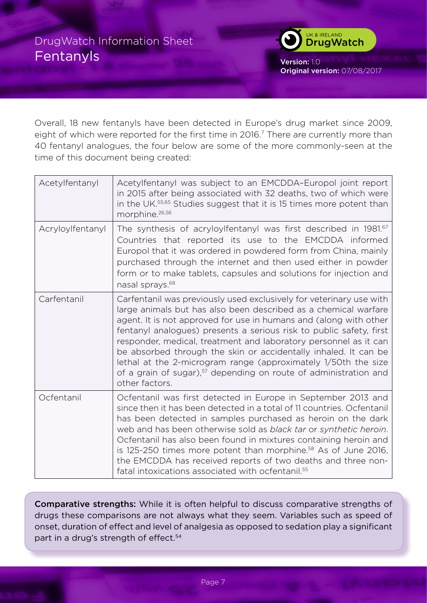

Version: 1.0 Original version: 07/08/2017

Overall, 18 new fentanyls have been detected in Europe's drug market since 2009, eight of which were reported for the first time in 2016.<sup>7</sup> There are currently more than 40 fentanyl analogues, the four below are some of the more commonly-seen at the time of this document being created:

| Acetylfentanyl   | Acetylfentanyl was subject to an EMCDDA-Europol joint report<br>in 2015 after being associated with 32 deaths, two of which were<br>in the UK. <sup>55,65</sup> Studies suggest that it is 15 times more potent than<br>morphine. <sup>26,56</sup>                                                                                                                                                                                                                                                                                                                                            |
|------------------|-----------------------------------------------------------------------------------------------------------------------------------------------------------------------------------------------------------------------------------------------------------------------------------------------------------------------------------------------------------------------------------------------------------------------------------------------------------------------------------------------------------------------------------------------------------------------------------------------|
| Acryloylfentanyl | The synthesis of acryloylfentanyl was first described in 1981. <sup>67</sup><br>Countries that reported its use to the EMCDDA informed<br>Europol that it was ordered in powdered form from China, mainly<br>purchased through the internet and then used either in powder<br>form or to make tablets, capsules and solutions for injection and<br>nasal sprays. <sup>68</sup>                                                                                                                                                                                                                |
| Carfentanil      | Carfentanil was previously used exclusively for veterinary use with<br>large animals but has also been described as a chemical warfare<br>agent. It is not approved for use in humans and (along with other<br>fentanyl analogues) presents a serious risk to public safety, first<br>responder, medical, treatment and laboratory personnel as it can<br>be absorbed through the skin or accidentally inhaled. It can be<br>lethal at the 2-microgram range (approximately 1/50th the size<br>of a grain of sugar), <sup>57</sup> depending on route of administration and<br>other factors. |
| Ocfentanil       | Ocfentanil was first detected in Europe in September 2013 and<br>since then it has been detected in a total of 11 countries. Ocfentanil<br>has been detected in samples purchased as heroin on the dark<br>web and has been otherwise sold as black tar or synthetic heroin.<br>Ocfentanil has also been found in mixtures containing heroin and<br>is 125-250 times more potent than morphine. <sup>58</sup> As of June 2016,<br>the EMCDDA has received reports of two deaths and three non-<br>fatal intoxications associated with ocfentanil. <sup>55</sup>                               |

Comparative strengths: While it is often helpful to discuss comparative strengths of drugs these comparisons are not always what they seem. Variables such as speed of onset, duration of effect and level of analgesia as opposed to sedation play a significant part in a drug's strength of effect.<sup>54</sup>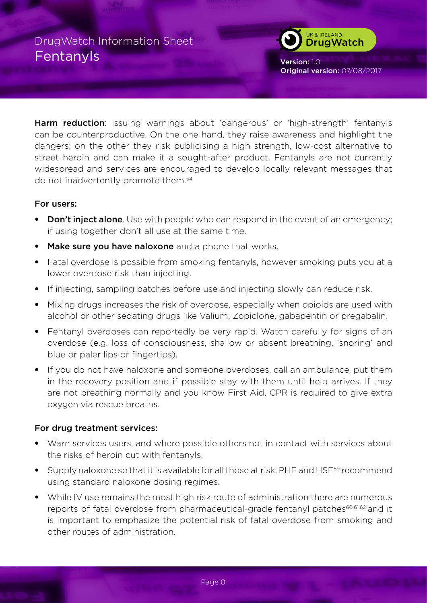

Version: 1.0 Original version: 07/08/2017

**Harm reduction**: Issuing warnings about 'dangerous' or 'high-strength' fentanyls can be counterproductive. On the one hand, they raise awareness and highlight the dangers; on the other they risk publicising a high strength, low-cost alternative to street heroin and can make it a sought-after product. Fentanyls are not currently widespread and services are encouraged to develop locally relevant messages that do not inadvertently promote them.<sup>54</sup>

### For users:

- Don't inject alone. Use with people who can respond in the event of an emergency; if using together don't all use at the same time.
- Make sure you have naloxone and a phone that works.
- Fatal overdose is possible from smoking fentanyls, however smoking puts you at a lower overdose risk than injecting.
- If injecting, sampling batches before use and injecting slowly can reduce risk.
- Mixing drugs increases the risk of overdose, especially when opioids are used with alcohol or other sedating drugs like Valium, Zopiclone, gabapentin or pregabalin.
- Fentanyl overdoses can reportedly be very rapid. Watch carefully for signs of an overdose (e.g. loss of consciousness, shallow or absent breathing, 'snoring' and blue or paler lips or fingertips).
- If you do not have naloxone and someone overdoses, call an ambulance, put them in the recovery position and if possible stay with them until help arrives. If they are not breathing normally and you know First Aid, CPR is required to give extra oxygen via rescue breaths.

### For drug treatment services:

- Warn services users, and where possible others not in contact with services about the risks of heroin cut with fentanyls.
- Supply naloxone so that it is available for all those at risk. PHE and HSE<sup>59</sup> recommend using standard naloxone dosing regimes.
- While IV use remains the most high risk route of administration there are numerous reports of fatal overdose from pharmaceutical-grade fentanyl patches<sup>60,61,62</sup> and it is important to emphasize the potential risk of fatal overdose from smoking and other routes of administration.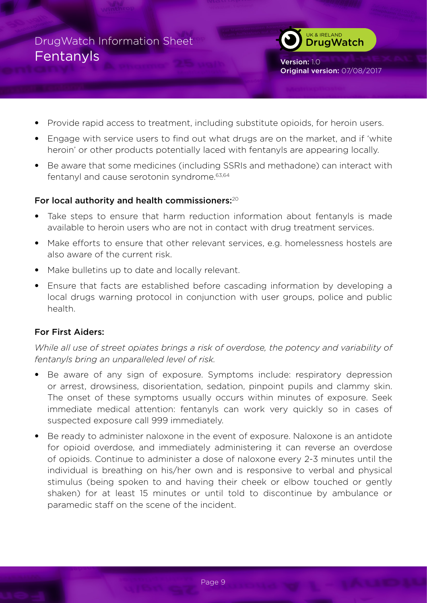UK & IRELAND **DrugWatch** 

Version: 1.0 Original version: 07/08/2017

- Provide rapid access to treatment, including substitute opioids, for heroin users.
- Engage with service users to find out what drugs are on the market, and if 'white heroin' or other products potentially laced with fentanyls are appearing locally.
- Be aware that some medicines (including SSRIs and methadone) can interact with fentanyl and cause serotonin syndrome.63,64

### For local authority and health commissioners: $20$

- Take steps to ensure that harm reduction information about fentanyls is made available to heroin users who are not in contact with drug treatment services.
- Make efforts to ensure that other relevant services, e.g. homelessness hostels are also aware of the current risk.
- Make bulletins up to date and locally relevant.
- Ensure that facts are established before cascading information by developing a local drugs warning protocol in conjunction with user groups, police and public health.

## For First Aiders:

*While all use of street opiates brings a risk of overdose, the potency and variability of fentanyls bring an unparalleled level of risk.* 

- Be aware of any sign of exposure. Symptoms include: respiratory depression or arrest, drowsiness, disorientation, sedation, pinpoint pupils and clammy skin. The onset of these symptoms usually occurs within minutes of exposure. Seek immediate medical attention: fentanyls can work very quickly so in cases of suspected exposure call 999 immediately.
- Be ready to administer naloxone in the event of exposure. Naloxone is an antidote for opioid overdose, and immediately administering it can reverse an overdose of opioids. Continue to administer a dose of naloxone every 2-3 minutes until the individual is breathing on his/her own and is responsive to verbal and physical stimulus (being spoken to and having their cheek or elbow touched or gently shaken) for at least 15 minutes or until told to discontinue by ambulance or paramedic staff on the scene of the incident.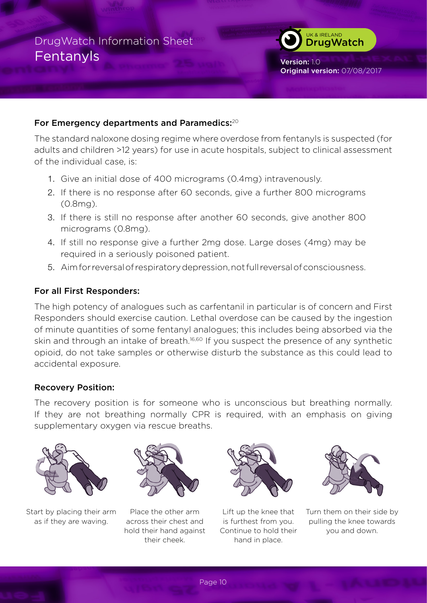### For Emergency departments and Paramedics:<sup>20</sup>

The standard naloxone dosing regime where overdose from fentanyls is suspected (for adults and children >12 years) for use in acute hospitals, subject to clinical assessment of the individual case, is:

- 1. Give an initial dose of 400 micrograms (0.4mg) intravenously.
- 2. If there is no response after 60 seconds, give a further 800 micrograms (0.8mg).
- 3. If there is still no response after another 60 seconds, give another 800 micrograms (0.8mg).
- 4. If still no response give a further 2mg dose. Large doses (4mg) may be required in a seriously poisoned patient.
- 5. Aim for reversal of respiratory depression, not full reversal of consciousness.

### For all First Responders:

The high potency of analogues such as carfentanil in particular is of concern and First Responders should exercise caution. Lethal overdose can be caused by the ingestion of minute quantities of some fentanyl analogues; this includes being absorbed via the skin and through an intake of breath.<sup>16,60</sup> If you suspect the presence of any synthetic opioid, do not take samples or otherwise disturb the substance as this could lead to accidental exposure.

### Recovery Position:

The recovery position is for someone who is unconscious but breathing normally. If they are not breathing normally CPR is required, with an emphasis on giving supplementary oxygen via rescue breaths.



Start by placing their arm as if they are waving.



Place the other arm across their chest and hold their hand against their cheek.



Lift up the knee that is furthest from you. Continue to hold their hand in place.



UK & IRELAND **DrugWatch** 

Original version: 07/08/2017

Version: 1.0

Turn them on their side by pulling the knee towards you and down.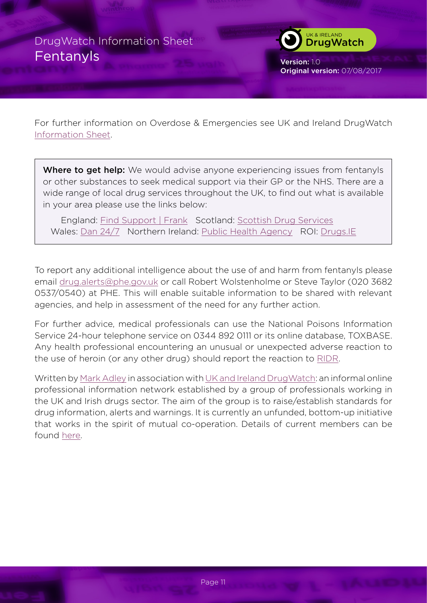

Version: 1.0 Original version: 07/08/2017

For further information on Overdose & Emergencies see UK and Ireland DrugWatch [Information Sheet](http://www.thedrugswheel.com/resources/DrugWatchOD_Emergency_1_1.pdf).

Where to get help: We would advise anyone experiencing issues from fentanyls or other substances to seek medical support via their GP or the NHS. There are a wide range of local drug services throughout the UK, to find out what is available in your area please use the links below:

 England: [Find Support | Frank](http://www.talktofrank.com/need-support) Scotland: [Scottish Drug Services](http://www.scottishdrugservices.com) Wales: [Dan 24/7](http://dan247.org.uk) Northern Ireland: [Public Health Agency](http://www.publichealth.hscni.net) ROI: [Drugs.IE](http://www.drugs.ie)

To report any additional intelligence about the use of and harm from fentanyls please email [drug.alerts@phe.gov.uk](mailto:drug.alerts@phe.gov.uk) or call Robert Wolstenholme or Steve Taylor (020 3682 0537/0540) at PHE. This will enable suitable information to be shared with relevant agencies, and help in assessment of the need for any further action.

For further advice, medical professionals can use the National Poisons Information Service 24-hour telephone service on 0344 892 0111 or its online database, TOXBASE. Any health professional encountering an unusual or unexpected adverse reaction to the use of heroin (or any other drug) should report the reaction to [RIDR](https://report-illicit-drug-reaction.phe.gov.uk).

Written by [Mark Adley](http://www.thedrugswheel.com) in association with [UK and Ireland DrugWatch:](http://michaellinnell.org.uk/drugwatch.html) an informal online professional information network established by a group of professionals working in the UK and Irish drugs sector. The aim of the group is to raise/establish standards for drug information, alerts and warnings. It is currently an unfunded, bottom-up initiative that works in the spirit of mutual co-operation. Details of current members can be found [here](http://thedrugswheel.com/drugwatch.php).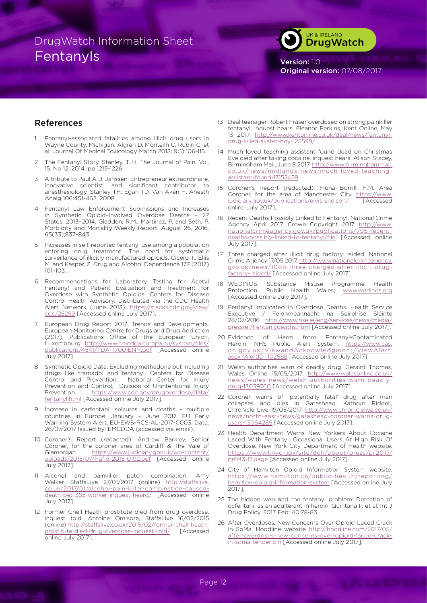

Version: 1.0 Original version: 07/08/2017

#### References

- Fentanyl-associated fatalities among illicit drug users in Wayne County, Michigan. Algren D, Monteilh C, Rubin C, et al. Journal Of Medical Toxicology March 2013; 9(1):106-115.
- 2 The Fentanyl Story. Stanley, T. H. The Journal of Pain, Vol. 15, No 12, 2014: pp 1215-1226.
- 3 A tribute to Paul A. J. Janssen: Entrepreneur extraordinaire, innovative scientist, and significant contributor to anesthesiology. Stanley TH, Egan TD, Van Aken H. Anesth Analg 106:451-462, 2008.
- Fentanyl Law Enforcement Submissions and Increases in Synthetic Opioid–Involved Overdose Deaths - 27 States, 2013–2014. Gladden, R.M., Martinez, P. and Seth, P. Morbidity and Mortality Weekly Report. August 26, 2016. 65(33);837–843.
- Increases in self-reported fentanyl use among a population entering drug treatment: The need for systematic surveillance of illicitly manufactured opioids. Cicero T., Ellis M. and Kasper, Z. Drug and Alcohol Dependence 177 (2017) 101–103.
- 6 Recommendations for Laboratory Testing for Acetyl Fentanyl and Patient Evaluation and Treatment for Overdose with Synthetic Opioids. Centers for Disease Control Health Advisory. Distributed via the CDC Health Alert Network (June 2013). [https://stacks.cdc.gov/view/](https://stacks.cdc.gov/view/cdc/25259) [cdc/25259](https://stacks.cdc.gov/view/cdc/25259) [Accessed online July 2017].
- 7 European Drug Report 2017: Trends and Developments. European Monitoring Centre for Drugs and Drug Addiction (2017), Publications Office of the European Union, Luxembourg. [http://www.emcdda.europa.eu/system/files/](http://www.emcdda.europa.eu/system/files/publications/4541/TDAT17001ENN.pdf) [publications/4541/TDAT17001ENN.pdf](http://www.emcdda.europa.eu/system/files/publications/4541/TDAT17001ENN.pdf) [Accessed online July 2017].
- 8 Synthetic Opioid Data: Excluding methadone but including drugs like tramadol and fentanyl. Centers for Disease<br>Control and Prevention, National Center for Injury National Center for Injury Prevention and Control, Division of Unintentional Injury Prevention. [https://www.cdc.gov/drugoverdose/data/](https://www.cdc.gov/drugoverdose/data/fentanyl.html) [fentanyl.html](https://www.cdc.gov/drugoverdose/data/fentanyl.html) [Accessed online July 2017].
- Increase in carfentanil seizures and deaths multiple countries in Europe, January – June 2017. EU Early Warning System Alert. EU-EWS-RCS-AL-2017-0003. Date: 26/07/2017 Issued by: EMCDDA (accessed via email).
- 10 Coroner's Report (redacted). Andrew Barkley, Senior Coroner, for the coroner area of Cardiff & The Vale of Glamorgan. [https://www.judiciary.gov.uk/wp-content/](https://www.judiciary.gov.uk/wp-content/uploads/2015/07/Hafid-2015-0192.pdf) [uploads/2015/07/Hafid-2015-0192.pdf](https://www.judiciary.gov.uk/wp-content/uploads/2015/07/Hafid-2015-0192.pdf) [Accessed online July 2017].
- 11 Alcohol and painkiller patch combination. Amy Walker, StaffsLive 27/01/2017 (online) [http://staffslive.](http://staffslive.co.uk/2017/01/alcohol-pain-killer-combination-caused-death-bet-365-worker-inquest-heard/) [co.uk/2017/01/alcohol-](http://staffslive.co.uk/2017/01/alcohol-pain-killer-combination-caused-death-bet-365-worker-inquest-heard/)pain-killer-combination-causeddeath-bet-365-worker-inquest-heard/ [Accessed online July 2017].
- 12 Former Chell Heath prostitute died from drug overdose, inquest told. Antoine Omisore, StaffsLive 16/02/2015 (online) [http://staffslive.co.uk/2015/02/former](http://staffslive.co.uk/2015/02/former-chell-heath-prostitute-died-drug-overdose-inquest-told/)-chell-heathprostitute-died-drug-overdose-inquest-told/ [Accessed online July 2017].
- 13 Deal teenager Robert Fraser overdosed on strong painkiller fentanyl, inquest hears. Eleanor Perkins, Kent Online, May 13 2017. [http://www.kentonline.co.uk/deal/news/fentanyl](http://www.kentonline.co.uk/deal/news/fentanyl-drug-killed-skater-boy-125599/)drug-killed-skater-boy-125599/
- 14 Much loved teaching assistant found dead on Christmas Eve died after taking cocaine, inquest hears. Alison Stacey, Birmingham Mail, June 8 2017. [http://www.birminghammail.](http://www.birminghammail.co.uk/news/midlands-news/much-loved-teaching-assistant-found-13152429) [co.uk/news/midlands-news/much](http://www.birminghammail.co.uk/news/midlands-news/much-loved-teaching-assistant-found-13152429)-loved-teachingassistant-found-13152429
- 15 Coroner's Report (redacted). Fiona Borrill, H.M. Area Coroner, for the area of Manchester City. [https://www.](https://www.judiciary.gov.uk/publications/elvis-snelson/) [judiciary.gov.uk/publications/elvis](https://www.judiciary.gov.uk/publications/elvis-snelson/)-snelson/ [Accessed online July 2017].
- 16 Recent Deaths Possibly Linked to Fentanyl. National Crime Agency April 2017. Crown Copyright 2017. [http://www.](http://www.nationalcrimeagency.gov.uk/publications/795-recent-deaths-possibly-linked-to-fentanyl/file) [nationalcrimeagency.gov.uk/publications/795-recent](http://www.nationalcrimeagency.gov.uk/publications/795-recent-deaths-possibly-linked-to-fentanyl/file)[deaths-possibly-linked-to-fentanyl/file](http://www.nationalcrimeagency.gov.uk/publications/795-recent-deaths-possibly-linked-to-fentanyl/file) [Accessed online July 2017].
- 17 Three charged after illicit drug factory raided. National Crime Agency 17/05 2017. [http://www.nationalcrimeagency.](http://www.nationalcrimeagency.gov.uk/news/1088-three-charged-after-illicit-drug-factory-raided/) [gov.uk/news/1088](http://www.nationalcrimeagency.gov.uk/news/1088-three-charged-after-illicit-drug-factory-raided/)-three-charged-after-illicit-drugfactory-raided/ [Accessed online July 2017].
- 18 WEDINOS, Substance Misuse Programme, Health Protection, Public Health Wales; <www.wedinos.org> [Accessed online July 2017].
- 19 Fentanyl Implicated in Overdose Deaths. Health Service<br>Executive / Feidhmeannacht na Seirbhíse Sláinte Executive / Feidhmeannacht na Seirbhíse Sláinte 28/07/2016 [http://www.hse.ie/eng/services/news/media/](http://www.hse.ie/eng/services/news/media/pressrel/Fentanlydeaths.html) [pressrel/Fentanlydeaths.html](http://www.hse.ie/eng/services/news/media/pressrel/Fentanlydeaths.html) [Accessed online July 2017].
- 20 Evidence of Harm from Fentanyl-Contaminated Heroin. NHS Public Alert System. [https://www.cas.](https://www.cas.dh.gov.uk/ViewandAcknowledgment/ViewAlert.aspx?AlertID=102588) [dh.gov.uk/ViewandAcknowledgment/ViewAlert.](https://www.cas.dh.gov.uk/ViewandAcknowledgment/ViewAlert.aspx?AlertID=102588) [aspx?AlertID=102588](https://www.cas.dh.gov.uk/ViewandAcknowledgment/ViewAlert.aspx?AlertID=102588) [Accessed online July 2017].
- 21 Welsh authorities warn of deadly drug. Geraint Thomas, Wales Online 15/05/2017. [http://www.walesonline.co.uk/](http://www.walesonline.co.uk/news/wales-news/welsh-authorities-warn-deadly-drug-13039760) [news/wales-news/welsh](http://www.walesonline.co.uk/news/wales-news/welsh-authorities-warn-deadly-drug-13039760)-authorities-warn-deadlydrug-13039760 [Accessed online July 2017].
- 22 Coroner warns of 'potentially fatal' drug after man collapses and dies in Gateshead. Kathryn Riddell, Chronicle Live 19/05/2017. [http://www.chroniclelive.co.uk/](http://www.chroniclelive.co.uk/news/north-east-news/gateshead-coroner-warns-drug-users-13064285) [news/north-east-news/gateshead](http://www.chroniclelive.co.uk/news/north-east-news/gateshead-coroner-warns-drug-users-13064285)-coroner-warns-drugusers-13064285 [Accessed online July 2017].
- 23 Health Department Warns New Yorkers About Cocaine Laced With Fentanyl; Occasional Users At High Risk Of Overdose. New York City Department of Health website. [https://www1.nyc.gov/site/doh/about/press/pr2017/](https://www1.nyc.gov/site/doh/about/press/pr2017/pr043-17.page) [pr043-17.page](https://www1.nyc.gov/site/doh/about/press/pr2017/pr043-17.page) [Accessed online July 2017].
- 24 City of Hamilton Opioid Information System website. [https://www.hamilton.ca/public-health/reporting/](https://www.hamilton.ca/public-health/reporting/hamilton-opioid-information-system) [hamilton](https://www.hamilton.ca/public-health/reporting/hamilton-opioid-information-system)-opioid-information-system [Accessed online July 2017].
- 25 The hidden web and the fentanyl problem: Detection of ocfentanil as an adulterant in heroin. Quintana P. et al. Int J Drug Policy. 2017 Feb; 40:78-83.
- 26 After Overdoses, New Concerns Over Opioid-Laced Crack In SoMa. Hoodline website [http://hoodline.com/2017/05/](http://hoodline.com/2017/05/after-overdoses-new-concerns-over-opioid-laced-crack-in-soma-tenderloin) [after](http://hoodline.com/2017/05/after-overdoses-new-concerns-over-opioid-laced-crack-in-soma-tenderloin)-overdoses-new-concerns-over-opioid-laced-crackin-soma-tenderloin [Accessed online July 2017].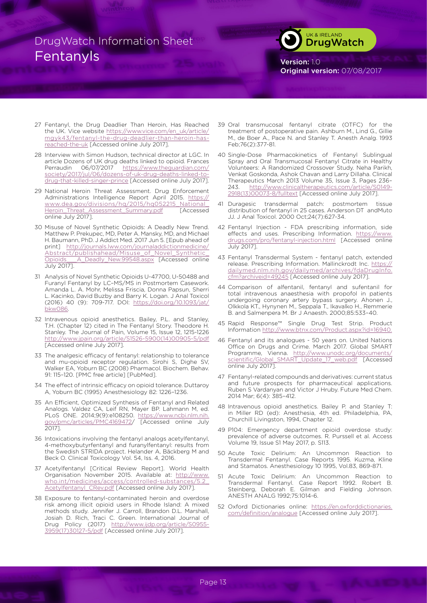

Version: 1.0 Original version: 07/08/2017

- 27 Fentanyl, the Drug Deadlier Than Heroin, Has Reached the UK. Vice website [https://www.vice.com/en\\_uk/article/](https://www.vice.com/en_uk/article/mgyk43/fentanyl-the-drug-deadlier-than-heroin-has-reached-the-uk) [mgyk43/fentanyl](https://www.vice.com/en_uk/article/mgyk43/fentanyl-the-drug-deadlier-than-heroin-has-reached-the-uk)-the-drug-deadlier-than-heroin-hasreached-the-uk [Accessed online July 2017].
- 28 Interview with Simon Hudson, technical director at LGC. In article Dozens of UK drug deaths linked to opioid. Frances Perraudin 06/07/2017 [https://www.theguardian.com/](https://www.theguardian.com/society/2017/jul/06/dozens-of-uk-drug-deaths-linked-to-drug-that-killed-singer-prince) [society/2017/jul/06/dozens](https://www.theguardian.com/society/2017/jul/06/dozens-of-uk-drug-deaths-linked-to-drug-that-killed-singer-prince)-of-uk-drug-deaths-linked-todrug-that-killed-singer-prince [Accessed online July 2017].
- 29 National Heroin Threat Assessment. Drug Enforcement Administrations Intelligence Report April 2015. [https://](https://www.dea.gov/divisions/hq/2015/hq052215_National_Heroin_Threat_Assessment_Summary.pdf) [www.dea.gov/divisions/hq/2015/hq052215\\_National\\_](https://www.dea.gov/divisions/hq/2015/hq052215_National_Heroin_Threat_Assessment_Summary.pdf) [Heroin\\_Threat\\_Assessment\\_Summary.pdf](https://www.dea.gov/divisions/hq/2015/hq052215_National_Heroin_Threat_Assessment_Summary.pdf) [Accessed online July 2017].
- 30 Misuse of Novel Synthetic Opioids: A Deadly New Trend. Matthew P. Prekupec, MD, Peter A. Mansky, MD, and Michael H. Baumann, PhD. J Addict Med. 2017 Jun 5. [Epub ahead of print] [http://journals.lww.com/journaladdictionmedicine/](http://journals.lww.com/journaladdictionmedicine/Abstract/publishahead/Misuse_of_Novel_Synthetic_Opioids___A_Deadly_New.99548.aspx) Abstract/publishahead/Misuse\_of\_Novel\_Synthetic<br>Opioids A Deadly New.99548.aspx [Accessed\_online A Deadly New.99548.aspx [Accessed online July 2017].
- 31 Analysis of Novel Synthetic Opioids U-47700, U-50488 and Furanyl Fentanyl by LC–MS/MS in Postmortem Casework. Amanda L. A. Mohr, Melissa Friscia, Donna Papsun, Sherri L. Kacinko, David Buzby and Barry K. Logan. J Anal Toxicol (2016) 40 (9): 709-717. DOI: [https://doi.org/10.1093/jat/](https://doi.org/10.1093/jat/bkw086) [bkw086.](https://doi.org/10.1093/jat/bkw086)
- 32 Intravenous opioid anesthetics. Bailey, P.L. and Stanley, T.H. (Chapter 12) cited in The Fentanyl Story. Theodore H. Stanley. The Journal of Pain, Volume 15, Issue 12, 1215-1226 [http://www.jpain.org/article/S1526-](http://www.jpain.org/article/S1526-5900(14)00905-5/pdf)5900(14)00905-5/pdf [Accessed online July 2017].
- 33 The analgesic efficacy of fentanyl: relationship to tolerance and mu-opioid receptor regulation. Sirohi S, Dighe SV, Walker EA, Yoburn BC (2008) Pharmacol. Biochem. Behav. 91: 115–120. [PMC free article] [PubMed].
- 34 The effect of intrinsic efficacy on opioid tolerance. Duttaroy A, Yoburn BC (1995) Anesthesiology 82: 1226–1236.
- 35 An Efficient, Optimized Synthesis of Fentanyl and Related Analogs. Valdez CA, Leif RN, Mayer BP. Lahmann M, ed. PLoS ONE. 2014;9(9):e108250. [https://www.ncbi.nlm.nih.](https://www.ncbi.nlm.nih.gov/pmc/articles/PMC4169472) [gov/pmc/articles/PMC4169472/](https://www.ncbi.nlm.nih.gov/pmc/articles/PMC4169472) [Accessed online July 2017].
- 36 Intoxications involving the fentanyl analogs acetylfentanyl, 4-methoxybutyrfentanyl and furanylfentanyl: results from the Swedish STRIDA project. Helander A, Bäckberg M and Beck O. Clinical Toxicology Vol. 54, Iss. 4, 2016.
- 37 Acetylfentanyl [Critical Review Report]. World Health Organisation November 2015. Available at: [http://www.](http://www.who.int/medicines/access/controlled-substances/5.2_Acetylfentanyl_CRev.pdf) who.int/medicines/access/controlled-substances [Acetylfentanyl\\_CRev.pdf](http://www.who.int/medicines/access/controlled-substances/5.2_Acetylfentanyl_CRev.pdf) [Accessed online July 2017].
- 38 Exposure to fentanyl-contaminated heroin and overdose risk among illicit opioid users in Rhode Island: A mixed methods study. Jennifer J. Carroll, Brandon D.L. Marshall, Josiah D. Rich, Traci C. Green. International Journal of Drug Policy (2017) [http://www.ijdp.org/article/S0955](http://www.ijdp.org/article/S0955-3959(17)30127-5/pdf)-3959(17)30127-5/pdf [Accessed online July 2017].
- 39 Oral transmucosal fentanyl citrate (OTFC) for the treatment of postoperative pain. Ashburn M., Lind G., Gillie M., de Boer A., Pace N. and Stanley T. Anesth Analg. 1993 Feb;76(2):377-81.
- 40 Single-Dose Pharmacokinetics of Fentanyl Sublingual Spray and Oral Transmucosal Fentanyl Citrate in Healthy Volunteers: A Randomized Crossover Study. Neha Parikh, Venkat Goskonda, Ashok Chavan and Larry Dillaha. Clinical Therapeutics March 2013 Volume 35, Issue 3, Pages 236– 243. [http://www.clinicaltherapeutics.com/article/S0149-](http://www.clinicaltherapeutics.com/article/S0149-2918(13)00073-8/fulltext) 2918(13)00073-8/fulltext [Accessed online July 2017].
- 41 Duragesic transdermal patch: postmortem tissue distribution of fentanyl in 25 cases. Anderson DT andMuto JJ. J Anal Toxicol. 2000 Oct;24(7):627-34.
- 42 Fentanyl Injection FDA prescribing information, side effects and uses. Prescribing Information. [https://www.](https://www.drugs.com/pro/fentanyl-injection.html) [drugs.com/pro/fentanyl-injection.html](https://www.drugs.com/pro/fentanyl-injection.html) [Accessed online July 2017].
- 43 Fentanyl Transdermal System fentanyl patch, extended release. Prescribing Information. Mallinckrodt Inc. https: [dailymed.nlm.nih.gov/dailymed/archives/fdaDrugInfo.](https://dailymed.nlm.nih.gov/dailymed/archives/fdaDrugInfo.cfm?archiveid=49245) [cfm?archiveid=49245](https://dailymed.nlm.nih.gov/dailymed/archives/fdaDrugInfo.cfm?archiveid=49245) [Accessed online July 2017].
- 44 Comparison of alfentanil, fentanyl and sufentanil for total intravenous anaesthesia with propofol in patients undergoing coronary artery bypass surgery. Ahonen J., Olkkola KT., Hynynen M., Seppala T., Ikavalko H., Remmerie B. and Salmenpera M. Br J Anaesth. 2000;85:533–40.
- 45 Rapid Response™ Single Drug Test Strip. Product Information <http://www.btnx.com/Product.aspx?id=16940.>
- 46 Fentanyl and its analogues 50 years on. United Nations Office on Drugs and Crime. March 2017. Global SMART Programme, Vienna. http://www.unodc.org/documents [scientific/Global\\_SMART\\_Update\\_17\\_web.pdf](http://www.unodc.org/documents/scientific/Global_SMART_Update_17_web.pdf) [Accessed online July 2017].
- 47 Fentanyl-related compounds and derivatives: current status and future prospects for pharmaceutical applications. Ruben S Vardanyan and Victor J Hruby. Future Med Chem. 2014 Mar; 6(4): 385–412.
- 48 Intravenous opioid anesthetics. Bailey P. and Stanley T: in Miller RD (ed): Anesthesia, 4th ed. Philadelphia, PA, Churchill Livingston, 1994, Chapter 12.
- 49 P104: Emergency department opioid overdose study: prevalence of adverse outcomes. R. Purssell et al. Access Volume 19, Issue S1 May 2017, p. S113.
- 50 Acute Toxic Delirium: An Uncommon Reaction to Transdermal Fentanyl. Case Reports 1995. Kuzma, Kline and Stamatos. Anesthesiology 10 1995, Vol.83, 869-871.
- 51 Acute Toxic Delirium: An Uncommon Reaction to Transdermal Fentanyl. Case Report 1992. Robert B. Steinberg, Deborah E. Gilman and Fielding Johnson. ANESTH ANALG 1992;75:1014-6.
- 52 Oxford Dictionaries online: [https://en.oxforddictionaries.](https://en.oxforddictionaries.com/definition/analogue) [com/definition/analogue](https://en.oxforddictionaries.com/definition/analogue) [Accessed online July 2017].